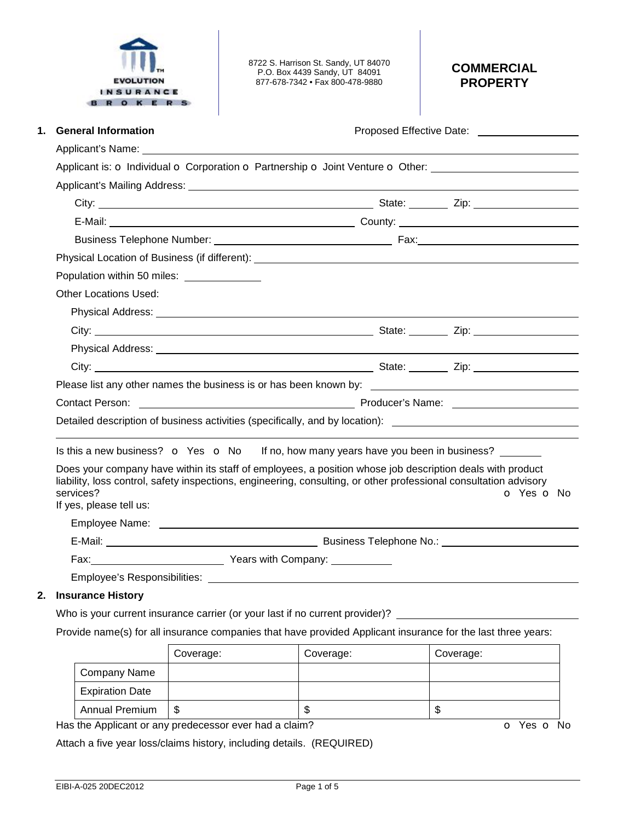

8722 S. Harrison St. Sandy, UT 84070 P.O. Box 4439 Sandy, UT 84091 877-678-7342 • Fax 800-478-9880

## **COMMERCIAL PROPERTY**

| <b>General Information</b><br>1.            |                                                                                                                                                                                                                                | Proposed Effective Date: _____________________ |  |
|---------------------------------------------|--------------------------------------------------------------------------------------------------------------------------------------------------------------------------------------------------------------------------------|------------------------------------------------|--|
|                                             |                                                                                                                                                                                                                                |                                                |  |
|                                             | Applicant is: $\sigma$ Individual $\sigma$ Corporation $\sigma$ Partnership $\sigma$ Joint Venture $\sigma$ Other:                                                                                                             |                                                |  |
|                                             |                                                                                                                                                                                                                                |                                                |  |
|                                             |                                                                                                                                                                                                                                |                                                |  |
|                                             |                                                                                                                                                                                                                                |                                                |  |
|                                             |                                                                                                                                                                                                                                |                                                |  |
|                                             | Physical Location of Business (if different): North and the state of the state of the state of the state of the state of the state of the state of the state of the state of the state of the state of the state of the state  |                                                |  |
| Population within 50 miles: _______________ |                                                                                                                                                                                                                                |                                                |  |
| <b>Other Locations Used:</b>                |                                                                                                                                                                                                                                |                                                |  |
|                                             | Physical Address: No. 2014 19:30:00 Physical Address:                                                                                                                                                                          |                                                |  |
|                                             |                                                                                                                                                                                                                                |                                                |  |
|                                             |                                                                                                                                                                                                                                |                                                |  |
|                                             |                                                                                                                                                                                                                                |                                                |  |
|                                             |                                                                                                                                                                                                                                |                                                |  |
|                                             | Contact Person: <u>Contact Person:</u> Contact Person: Contact Person: Contact Person: Contact Person: Contact Person:                                                                                                         |                                                |  |
|                                             | Detailed description of business activities (specifically, and by location): _______________________                                                                                                                           |                                                |  |
|                                             | Is this a new business? $\bullet$ Yes $\bullet$ No If no, how many years have you been in business?                                                                                                                            |                                                |  |
| services?<br>If yes, please tell us:        | Does your company have within its staff of employees, a position whose job description deals with product<br>liability, loss control, safety inspections, engineering, consulting, or other professional consultation advisory | O Yes O No                                     |  |
|                                             |                                                                                                                                                                                                                                |                                                |  |
|                                             |                                                                                                                                                                                                                                |                                                |  |
|                                             | Fax: <u>Conserver Company: Company: Company:</u>                                                                                                                                                                               |                                                |  |
|                                             |                                                                                                                                                                                                                                |                                                |  |

### **2. Insurance History**

Who is your current insurance carrier (or your last if no current provider)?

Provide name(s) for all insurance companies that have provided Applicant insurance for the last three years:

|                        | Coverage: | Coverage: | Coverage: |
|------------------------|-----------|-----------|-----------|
| <b>Company Name</b>    |           |           |           |
| <b>Expiration Date</b> |           |           |           |
| <b>Annual Premium</b>  | S         | ۰D        | ѡ         |

Has the Applicant or any predecessor ever had a claim? **o** Yes **o** No

Attach a five year loss/claims history, including details. (REQUIRED)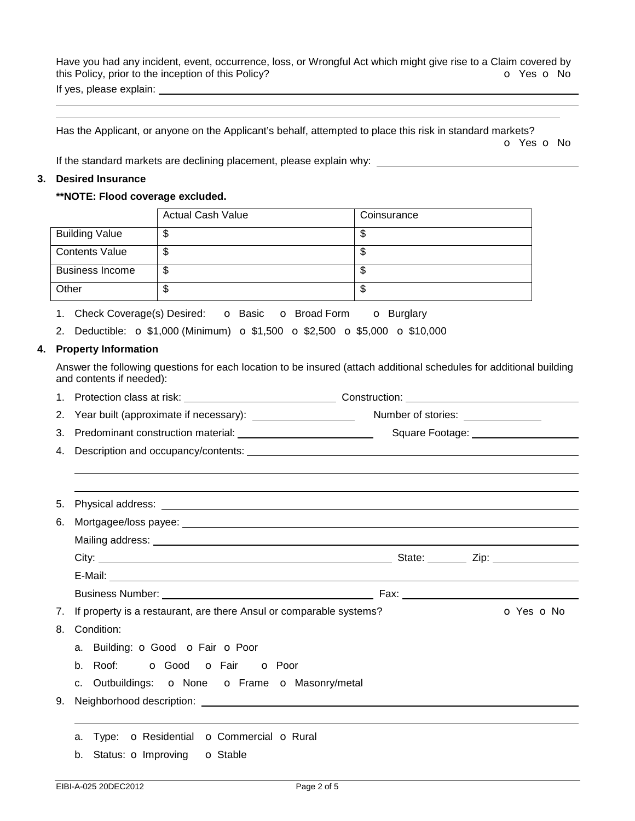Have you had any incident, event, occurrence, loss, or Wrongful Act which might give rise to a Claim covered by this Policy, prior to the inception of this Policy? **o** Yes **o** No If yes, please explain:

Has the Applicant, or anyone on the Applicant's behalf, attempted to place this risk in standard markets? o Yes o No

If the standard markets are declining placement, please explain why:

#### **3. Desired Insurance**

#### **\*\*NOTE: Flood coverage excluded.**

|    |                         |                          | <b>Actual Cash Value</b>                                                                                            | Coinsurance              |            |  |
|----|-------------------------|--------------------------|---------------------------------------------------------------------------------------------------------------------|--------------------------|------------|--|
|    |                         | <b>Building Value</b>    | \$                                                                                                                  | \$                       |            |  |
|    |                         | <b>Contents Value</b>    | \$                                                                                                                  | $\overline{\mathcal{E}}$ |            |  |
|    |                         | <b>Business Income</b>   | \$                                                                                                                  | $\overline{\mathbf{s}}$  |            |  |
|    |                         | Other                    | $\mathfrak{L}$                                                                                                      | $\overline{\mathcal{E}}$ |            |  |
|    |                         |                          | 1. Check Coverage(s) Desired: <b>O</b> Basic <b>O</b> Broad Form <b>O</b> Burglary                                  |                          |            |  |
|    |                         |                          | 2. Deductible: $\sigma$ \$1,000 (Minimum) $\sigma$ \$1,500 $\sigma$ \$2,500 $\sigma$ \$5,000 $\sigma$ \$10,000      |                          |            |  |
|    | 4. Property Information |                          |                                                                                                                     |                          |            |  |
|    |                         | and contents if needed): | Answer the following questions for each location to be insured (attach additional schedules for additional building |                          |            |  |
|    |                         |                          |                                                                                                                     |                          |            |  |
|    | 2.                      |                          |                                                                                                                     |                          |            |  |
|    |                         |                          |                                                                                                                     |                          |            |  |
| 4. |                         |                          |                                                                                                                     |                          |            |  |
|    |                         |                          |                                                                                                                     |                          |            |  |
|    |                         |                          |                                                                                                                     |                          |            |  |
|    | 5.                      |                          |                                                                                                                     |                          |            |  |
|    | 6.                      |                          |                                                                                                                     |                          |            |  |
|    |                         |                          |                                                                                                                     |                          |            |  |
|    |                         |                          |                                                                                                                     |                          |            |  |
|    |                         |                          |                                                                                                                     |                          |            |  |
|    |                         |                          |                                                                                                                     |                          |            |  |
|    | 7.                      |                          | If property is a restaurant, are there Ansul or comparable systems?                                                 |                          | O Yes O No |  |
|    | 8.                      | Condition:               |                                                                                                                     |                          |            |  |
|    |                         |                          | a. Building: <b>o</b> Good <b>o</b> Fair <b>o</b> Poor                                                              |                          |            |  |
|    |                         |                          | b. Roof: <b>o</b> Good <b>o</b> Fair <b>o</b> Poor                                                                  |                          |            |  |
|    |                         |                          | c. Outbuildings: o None o Frame o Masonry/metal                                                                     |                          |            |  |
|    | 9.                      |                          |                                                                                                                     |                          |            |  |
|    |                         |                          |                                                                                                                     |                          |            |  |
|    |                         | а.                       | Type: O Residential O Commercial O Rural                                                                            |                          |            |  |
|    |                         | b. Status: o Improving   | <b>o</b> Stable                                                                                                     |                          |            |  |
|    |                         |                          |                                                                                                                     |                          |            |  |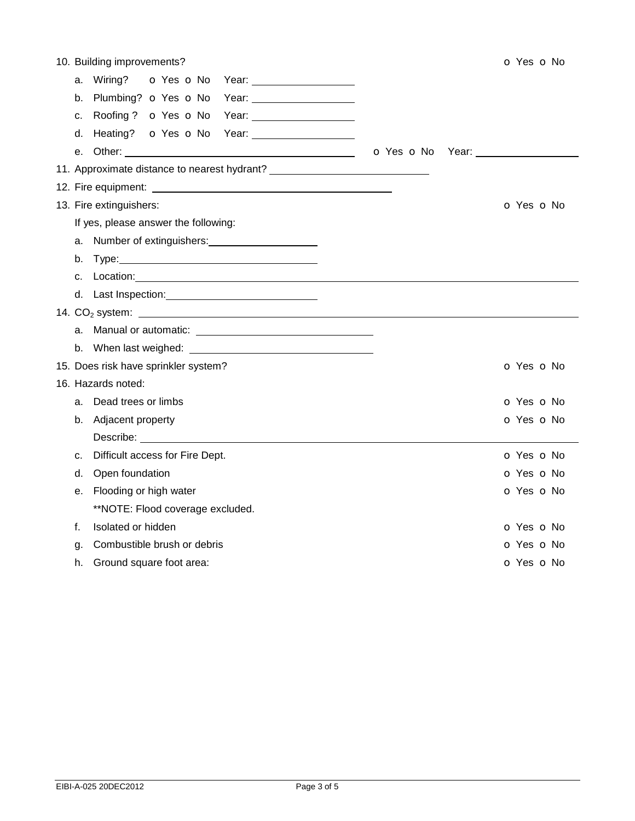| 10. Building improvements?                                                                                                                                                                                                                           |            | o Yes o No               |
|------------------------------------------------------------------------------------------------------------------------------------------------------------------------------------------------------------------------------------------------------|------------|--------------------------|
| O Yes O No<br>Wiring?<br>Year: Vear Press, 2008<br>a.                                                                                                                                                                                                |            |                          |
| Plumbing? o Yes o No<br>b.                                                                                                                                                                                                                           |            |                          |
| Roofing? o Yes o No<br>Year: _______________________<br>c.                                                                                                                                                                                           |            |                          |
| Heating? <b>o</b> Yes <b>o</b> No Year: <u>contained a set of Year: the set of North State and State and State and State and State and State and State and State and State and State and State and State and State and State and State and</u><br>d. |            |                          |
| е.                                                                                                                                                                                                                                                   | o Yes o No | Year: __________________ |
| 11. Approximate distance to nearest hydrant? ___________________________________                                                                                                                                                                     |            |                          |
|                                                                                                                                                                                                                                                      |            |                          |
| 13. Fire extinguishers:                                                                                                                                                                                                                              |            | O Yes O No               |
| If yes, please answer the following:                                                                                                                                                                                                                 |            |                          |
|                                                                                                                                                                                                                                                      |            |                          |
| Type: 2008 2010 2010 2010 2010 2010 2011 2021 2031 2040 2041 2051 2052 2053 2054 2055 2056 2057 2058 2059 205<br>b.                                                                                                                                  |            |                          |
| Location: <u>contract the contract of the contract of the contract of the contract of the contract of the contract of the contract of the contract of the contract of the contract of the contract of the contract of the contra</u><br>$C_{\cdot}$  |            |                          |
| d. Last Inspection: Note that the set of the set of the set of the set of the set of the set of the set of the                                                                                                                                       |            |                          |
| 14. $CO2$ system: $\overline{\phantom{a}}$                                                                                                                                                                                                           |            |                          |
|                                                                                                                                                                                                                                                      |            |                          |
| b.                                                                                                                                                                                                                                                   |            |                          |
| 15. Does risk have sprinkler system?                                                                                                                                                                                                                 |            | o Yes o No               |
| 16. Hazards noted:                                                                                                                                                                                                                                   |            |                          |
| Dead trees or limbs<br>a.                                                                                                                                                                                                                            |            | O Yes O No               |
| Adjacent property<br>b.                                                                                                                                                                                                                              |            | O Yes O No               |
| Describe: <u>www.community.com</u>                                                                                                                                                                                                                   |            |                          |
| Difficult access for Fire Dept.<br>c.                                                                                                                                                                                                                |            | o Yes o No               |
| Open foundation<br>d.                                                                                                                                                                                                                                |            | O Yes O No               |
| Flooding or high water<br>е.                                                                                                                                                                                                                         |            | O Yes O No               |
| **NOTE: Flood coverage excluded.                                                                                                                                                                                                                     |            |                          |
| Isolated or hidden<br>f.                                                                                                                                                                                                                             |            | O Yes O No               |
| Combustible brush or debris<br>g.                                                                                                                                                                                                                    |            | o Yes o No               |
| Ground square foot area:<br>h.                                                                                                                                                                                                                       |            | o Yes o No               |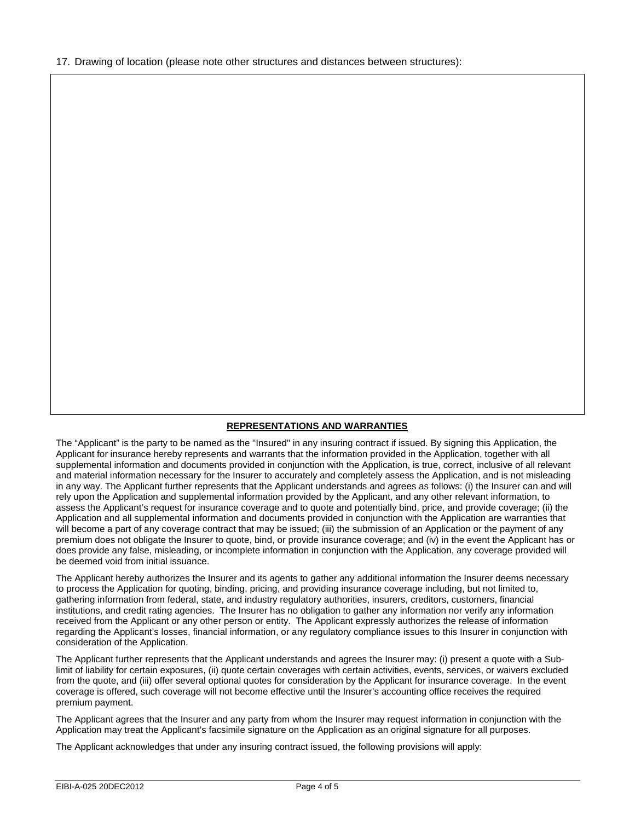17. Drawing of location (please note other structures and distances between structures):

# **REPRESENTATIONS AND WARRANTIES**

The "Applicant" is the party to be named as the "Insured" in any insuring contract if issued. By signing this Application, the Applicant for insurance hereby represents and warrants that the information provided in the Application, together with all supplemental information and documents provided in conjunction with the Application, is true, correct, inclusive of all relevant and material information necessary for the Insurer to accurately and completely assess the Application, and is not misleading in any way. The Applicant further represents that the Applicant understands and agrees as follows: (i) the Insurer can and will rely upon the Application and supplemental information provided by the Applicant, and any other relevant information, to assess the Applicant's request for insurance coverage and to quote and potentially bind, price, and provide coverage; (ii) the Application and all supplemental information and documents provided in conjunction with the Application are warranties that will become a part of any coverage contract that may be issued; (iii) the submission of an Application or the payment of any premium does not obligate the Insurer to quote, bind, or provide insurance coverage; and (iv) in the event the Applicant has or does provide any false, misleading, or incomplete information in conjunction with the Application, any coverage provided will be deemed void from initial issuance.

The Applicant hereby authorizes the Insurer and its agents to gather any additional information the Insurer deems necessary to process the Application for quoting, binding, pricing, and providing insurance coverage including, but not limited to, gathering information from federal, state, and industry regulatory authorities, insurers, creditors, customers, financial institutions, and credit rating agencies. The Insurer has no obligation to gather any information nor verify any information received from the Applicant or any other person or entity. The Applicant expressly authorizes the release of information regarding the Applicant's losses, financial information, or any regulatory compliance issues to this Insurer in conjunction with consideration of the Application.

The Applicant further represents that the Applicant understands and agrees the Insurer may: (i) present a quote with a Sublimit of liability for certain exposures, (ii) quote certain coverages with certain activities, events, services, or waivers excluded from the quote, and (iii) offer several optional quotes for consideration by the Applicant for insurance coverage. In the event coverage is offered, such coverage will not become effective until the Insurer's accounting office receives the required premium payment.

The Applicant agrees that the Insurer and any party from whom the Insurer may request information in conjunction with the Application may treat the Applicant's facsimile signature on the Application as an original signature for all purposes.

The Applicant acknowledges that under any insuring contract issued, the following provisions will apply: